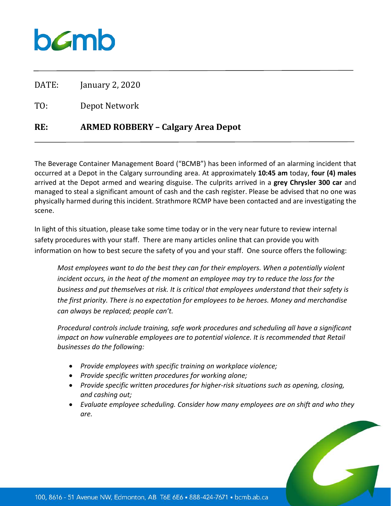## **b***C*mb

DATE: January 2, 2020

TO: Depot Network

## **RE: ARMED ROBBERY – Calgary Area Depot**

The Beverage Container Management Board ("BCMB") has been informed of an alarming incident that occurred at a Depot in the Calgary surrounding area. At approximately **10:45 am** today, **four (4) males** arrived at the Depot armed and wearing disguise. The culprits arrived in a **grey Chrysler 300 car** and managed to steal a significant amount of cash and the cash register. Please be advised that no one was physically harmed during this incident. Strathmore RCMP have been contacted and are investigating the scene.

In light of this situation, please take some time today or in the very near future to review internal safety procedures with your staff. There are many articles online that can provide you with information on how to best secure the safety of you and your staff. One source offers the following:

*Most employees want to do the best they can for their employers. When a potentially violent*  incident occurs, in the heat of the moment an employee may try to reduce the loss for the *business and put themselves at risk. It is critical that employees understand that their safety is the first priority. There is no expectation for employees to be heroes. Money and merchandise can always be replaced; people can't.*

*Procedural controls include training, safe work procedures and scheduling all have a significant impact on how vulnerable employees are to potential violence. It is recommended that Retail businesses do the following:*

- *Provide employees with specific training on workplace violence;*
- *Provide specific written procedures for working alone;*
- *Provide specific written procedures for higher-risk situations such as opening, closing, and cashing out;*
- *Evaluate employee scheduling. Consider how many employees are on shift and who they are.*